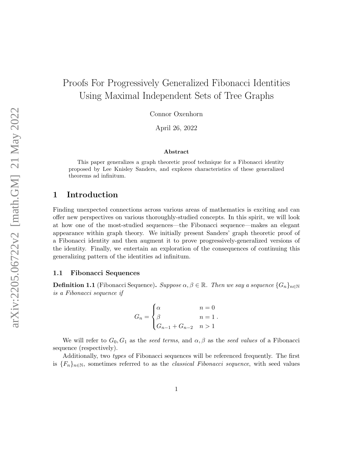# Proofs For Progressively Generalized Fibonacci Identities Using Maximal Independent Sets of Tree Graphs

Connor Oxenhorn

April 26, 2022

#### Abstract

This paper generalizes a graph theoretic proof technique for a Fibonacci identity proposed by Lee Knisley Sanders, and explores characteristics of these generalized theorems ad infinitum.

# 1 Introduction

Finding unexpected connections across various areas of mathematics is exciting and can offer new perspectives on various thoroughly-studied concepts. In this spirit, we will look at how one of the most-studied sequences—the Fibonacci sequence—makes an elegant appearance within graph theory. We initially present Sanders' graph theoretic proof of a Fibonacci identity and then augment it to prove progressively-generalized versions of the identity. Finally, we entertain an exploration of the consequences of continuing this generalizing pattern of the identities ad infinitum.

#### 1.1 Fibonacci Sequences

**Definition 1.1** (Fibonacci Sequence). Suppose  $\alpha, \beta \in \mathbb{R}$ . Then we say a sequence  $\{G_n\}_{n\in\mathbb{N}}$ is a Fibonacci sequence if

$$
G_n = \begin{cases} \alpha & n = 0 \\ \beta & n = 1 \\ G_{n-1} + G_{n-2} & n > 1 \end{cases}
$$

We will refer to  $G_0, G_1$  as the seed terms, and  $\alpha, \beta$  as the seed values of a Fibonacci sequence (respectively).

Additionally, two types of Fibonacci sequences will be referenced frequently. The first is  ${F_n}_{n\in\mathbb{N}}$ , sometimes referred to as the *classical Fibonacci sequence*, with seed values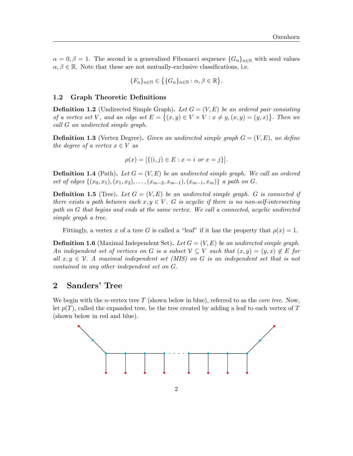$\alpha = 0, \beta = 1$ . The second is a generalized Fibonacci sequence  $\{G_n\}_{n\in\mathbb{N}}$  with seed values  $\alpha, \beta \in \mathbb{R}$ . Note that these are not mutually-exclusive classifications, i.e.

$$
\{F_n\}_{n\in\mathbb{N}}\in\big\{\{G_n\}_{n\in\mathbb{N}}:\alpha,\beta\in\mathbb{R}\big\}.
$$

#### 1.2 Graph Theoretic Definitions

**Definition 1.2** (Undirected Simple Graph). Let  $G = (V, E)$  be an ordered pair consisting of a vertex set V, and an edge set  $E = \{(x, y) \in V \times V : x \neq y, (x, y) = (y, x)\}\.$  Then we call G an undirected simple graph.

**Definition 1.3** (Vertex Degree). Given an undirected simple graph  $G = (V, E)$ , we define the degree of a vertex  $x \in V$  as

$$
\rho(x) = |\{(i, j) \in E : x = i \text{ or } x = j\}|.
$$

**Definition 1.4** (Path). Let  $G = (V, E)$  be an undirected simple graph. We call an ordered set of edges  $\{(x_0, x_1), (x_1, x_2), \ldots, (x_{m-2}, x_{m-1}), (x_{m-1}, x_m)\}\$ a path on G.

**Definition 1.5** (Tree). Let  $G = (V, E)$  be an undirected simple graph. G is connected if there exists a path between each  $x, y \in V$ . G is acyclic if there is no non-self-intersecting path on G that begins and ends at the same vertex. We call a connected, acyclic undirected simple graph a tree.

Fittingly, a vertex x of a tree G is called a "leaf" if it has the property that  $\rho(x) = 1$ .

**Definition 1.6** (Maximal Independent Set). Let  $G = (V, E)$  be an undirected simple graph. An independent set of vertices on G is a subset  $V \subseteq V$  such that  $(x, y) = (y, x) \notin E$  for all  $x, y \in V$ . A maximal independent set (MIS) on G is an independent set that is not contained in any other independent set on G.

### 2 Sanders' Tree

We begin with the *n*-vertex tree  $T$  (shown below in blue), referred to as the *core tree*. Now, let  $p(T)$ , called the expanded tree, be the tree created by adding a leaf to each vertex of T (shown below in red and blue).

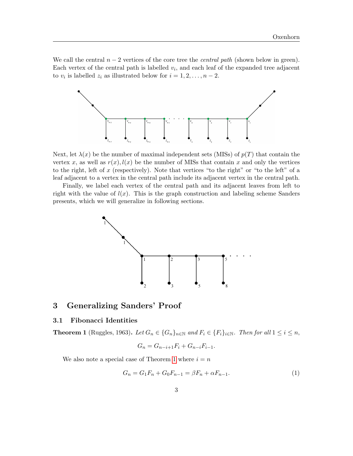We call the central  $n-2$  vertices of the core tree the *central path* (shown below in green). Each vertex of the central path is labelled  $v_i$ , and each leaf of the expanded tree adjacent to  $v_i$  is labelled  $z_i$  as illustrated below for  $i = 1, 2, \ldots, n - 2$ .



Next, let  $\lambda(x)$  be the number of maximal independent sets (MISs) of  $p(T)$  that contain the vertex x, as well as  $r(x)$ ,  $l(x)$  be the number of MISs that contain x and only the vertices to the right, left of x (respectively). Note that vertices "to the right" or "to the left" of a leaf adjacent to a vertex in the central path include its adjacent vertex in the central path.

Finally, we label each vertex of the central path and its adjacent leaves from left to right with the value of  $l(x)$ . This is the graph construction and labeling scheme Sanders presents, which we will generalize in following sections.



# 3 Generalizing Sanders' Proof

#### 3.1 Fibonacci Identities

<span id="page-2-0"></span>**Theorem 1** (Ruggles, 1963). Let  $G_n \in \{G_n\}_{n\in\mathbb{N}}$  and  $F_i \in \{F_i\}_{i\in\mathbb{N}}$ . Then for all  $1 \leq i \leq n$ ,

<span id="page-2-1"></span>
$$
G_n = G_{n-i+1}F_i + G_{n-i}F_{i-1}.
$$

We also note a special case of Theorem [1](#page-2-0) where  $i = n$ 

$$
G_n = G_1 F_n + G_0 F_{n-1} = \beta F_n + \alpha F_{n-1}.
$$
\n(1)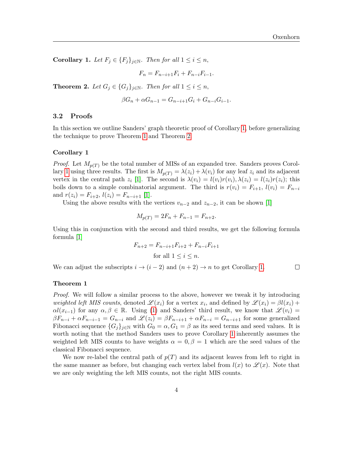<span id="page-3-0"></span>Corollary 1. Let  $F_j \in \{F_j\}_{j \in \mathbb{N}}$ . Then for all  $1 \leq i \leq n$ ,

$$
F_n = F_{n-i+1}F_i + F_{n-i}F_{i-1}.
$$

<span id="page-3-1"></span>**Theorem 2.** Let  $G_j \in \{G_j\}_{j\in\mathbb{N}}$ . Then for all  $1 \leq i \leq n$ ,

$$
\beta G_n + \alpha G_{n-1} = G_{n-i+1} G_i + G_{n-i} G_{i-1}.
$$

#### 3.2 Proofs

In this section we outline Sanders' graph theoretic proof of Corollary [1,](#page-3-0) before generalizing the technique to prove Theorem [1](#page-2-0) and Theorem [2.](#page-3-1)

#### Corollary 1

*Proof.* Let  $M_{p(T)}$  be the total number of MISs of an expanded tree. Sanders proves Corol-lary [1](#page-3-0) using three results. The first is  $M_{p(T)} = \lambda(z_i) + \lambda(v_i)$  for any leaf  $z_i$  and its adjacent vertex in the central path  $z_i$  [\[1\]](#page-8-0). The second is  $\lambda(v_i) = l(v_i)r(v_i), \lambda(z_i) = l(z_i)r(z_i)$ ; this boils down to a simple combinatorial argument. The third is  $r(v_i) = F_{i+1}$ ,  $l(v_i) = F_{n-i}$ and  $r(z_i) = F_{i+2}, l(z_i) = F_{n-i+1}$  [\[1\]](#page-8-0).

Using the above results with the vertices  $v_{n-2}$  and  $z_{n-2}$ , it can be shown [\[1\]](#page-8-0)

$$
M_{p(T)} = 2F_n + F_{n-1} = F_{n+2}.
$$

Using this in conjunction with the second and third results, we get the following formula formula [\[1\]](#page-8-0)

$$
F_{n+2} = F_{n-i+1}F_{i+2} + F_{n-i}F_{i+1}
$$
  
for all  $1 \le i \le n$ .

We can adjust the subscripts  $i \to (i-2)$  and  $(n+2) \to n$  to get Corollary [1.](#page-3-0)  $\Box$ 

#### Theorem 1

Proof. We will follow a similar process to the above, however we tweak it by introducing weighted left MIS counts, denoted  $\mathscr{L}(x_i)$  for a vertex  $x_i$ , and defined by  $\mathscr{L}(x_i) = \beta l(x_i) +$  $\alpha l(x_{i-1})$  for any  $\alpha, \beta \in \mathbb{R}$ . Using [\(1\)](#page-2-1) and Sanders' third result, we know that  $\mathscr{L}(v_i)$  =  $\beta F_{n-i} + \alpha F_{n-i-1} = G_{n-i}$  and  $\mathscr{L}(z_i) = \beta F_{n-i+1} + \alpha F_{n-i} = G_{n-i+1}$  for some generalized Fibonacci sequence  $\{G_j\}_{j\in\mathbb{N}}$  with  $G_0 = \alpha, G_1 = \beta$  as its seed terms and seed values. It is worth noting that the method Sanders uses to prove Corollary [1](#page-3-0) inherently assumes the weighted left MIS counts to have weights  $\alpha = 0, \beta = 1$  which are the seed values of the classical Fibonacci sequence.

We now re-label the central path of  $p(T)$  and its adjacent leaves from left to right in the same manner as before, but changing each vertex label from  $l(x)$  to  $\mathscr{L}(x)$ . Note that we are only weighting the left MIS counts, not the right MIS counts.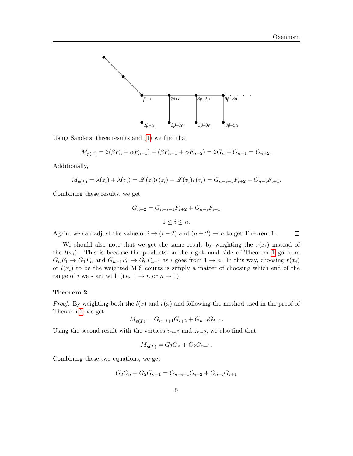

Using Sanders' three results and [\(1\)](#page-2-1) we find that

$$
M_{p(T)} = 2(\beta F_n + \alpha F_{n-1}) + (\beta F_{n-1} + \alpha F_{n-2}) = 2G_n + G_{n-1} = G_{n+2}.
$$

Additionally,

$$
M_{p(T)} = \lambda(z_i) + \lambda(v_i) = \mathcal{L}(z_i)r(z_i) + \mathcal{L}(v_i)r(v_i) = G_{n-i+1}F_{i+2} + G_{n-i}F_{i+1}.
$$

Combining these results, we get

$$
G_{n+2} = G_{n-i+1}F_{i+2} + G_{n-i}F_{i+1}
$$
  

$$
1 \le i \le n.
$$

Again, we can adjust the value of  $i \rightarrow (i-2)$  and  $(n+2) \rightarrow n$  to get Theorem 1.  $\Box$ 

We should also note that we get the same result by weighting the  $r(x_i)$  instead of the  $l(x_i)$ . This is because the products on the right-hand side of Theorem [1](#page-2-0) go from  $G_nF_1 \to G_1F_n$  and  $G_{n-1}F_0 \to G_0F_{n-1}$  as i goes from  $1 \to n$ . In this way, choosing  $r(x_i)$ or  $l(x_i)$  to be the weighted MIS counts is simply a matter of choosing which end of the range of i we start with (i.e.  $1 \rightarrow n$  or  $n \rightarrow 1$ ).

#### Theorem 2

*Proof.* By weighting both the  $l(x)$  and  $r(x)$  and following the method used in the proof of Theorem [1,](#page-2-0) we get

$$
M_{p(T)} = G_{n-i+1}G_{i+2} + G_{n-i}G_{i+1}.
$$

Using the second result with the vertices  $v_{n-2}$  and  $z_{n-2}$ , we also find that

$$
M_{p(T)} = G_3 G_n + G_2 G_{n-1}.
$$

Combining these two equations, we get

$$
G_3G_n + G_2G_{n-1} = G_{n-i+1}G_{i+2} + G_{n-i}G_{i+1}
$$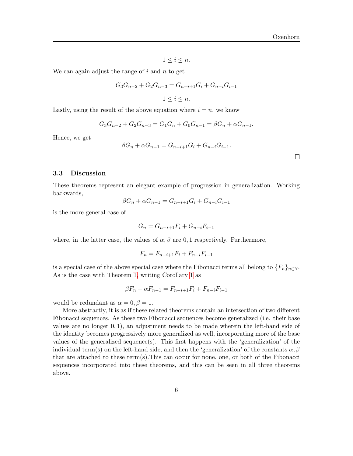$1 \leq i \leq n$ .

We can again adjust the range of  $i$  and  $n$  to get

$$
G_3G_{n-2} + G_2G_{n-3} = G_{n-i+1}G_i + G_{n-i}G_{i-1}
$$
  

$$
1 \le i \le n.
$$

Lastly, using the result of the above equation where  $i = n$ , we know

$$
G_3G_{n-2} + G_2G_{n-3} = G_1G_n + G_0G_{n-1} = \beta G_n + \alpha G_{n-1}.
$$

Hence, we get

$$
\beta G_n + \alpha G_{n-1} = G_{n-i+1} G_i + G_{n-i} G_{i-1}.
$$

#### 3.3 Discussion

These theorems represent an elegant example of progression in generalization. Working backwards,

$$
\beta G_n + \alpha G_{n-1} = G_{n-i+1} G_i + G_{n-i} G_{i-1}
$$

is the more general case of

$$
G_n = G_{n-i+1}F_i + G_{n-i}F_{i-1}
$$

where, in the latter case, the values of  $\alpha$ ,  $\beta$  are 0, 1 respectively. Furthermore,

$$
F_n = F_{n-i+1}F_i + F_{n-i}F_{i-1}
$$

is a special case of the above special case where the Fibonacci terms all belong to  $\{F_n\}_{n\in\mathbb{N}}$ . As is the case with Theorem [1,](#page-2-0) writing Corollary [1](#page-3-0) as

$$
\beta F_n + \alpha F_{n-1} = F_{n-i+1} F_i + F_{n-i} F_{i-1}
$$

would be redundant as  $\alpha = 0, \beta = 1$ .

More abstractly, it is as if these related theorems contain an intersection of two different Fibonacci sequences. As these two Fibonacci sequences become generalized (i.e. their base values are no longer  $(0, 1)$ , an adjustment needs to be made wherein the left-hand side of the identity becomes progressively more generalized as well, incorporating more of the base values of the generalized sequence(s). This first happens with the 'generalization' of the individual term(s) on the left-hand side, and then the 'generalization' of the constants  $\alpha, \beta$ that are attached to these term(s).This can occur for none, one, or both of the Fibonacci sequences incorporated into these theorems, and this can be seen in all three theorems above.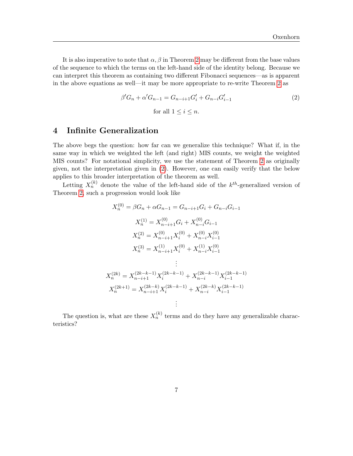It is also imperative to note that  $\alpha$ ,  $\beta$  in Theorem [2](#page-3-1) may be different from the base values of the sequence to which the terms on the left-hand side of the identity belong. Because we can interpret this theorem as containing two different Fibonacci sequences—as is apparent in the above equations as well—it may be more appropriate to re-write Theorem [2](#page-3-1) as

<span id="page-6-0"></span>
$$
\beta'G_n + \alpha'G_{n-1} = G_{n-i+1}G'_i + G_{n-i}G'_{i-1}
$$
\n
$$
\text{for all } 1 \le i \le n.
$$
\n(2)

# 4 Infinite Generalization

The above begs the question: how far can we generalize this technique? What if, in the same way in which we weighted the left (and right) MIS counts, we weight the weighted MIS counts? For notational simplicity, we use the statement of Theorem [2](#page-3-1) as originally given, not the interpretation given in [\(2\)](#page-6-0). However, one can easily verify that the below applies to this broader interpretation of the theorem as well.

Letting  $X_n^{(k)}$  denote the value of the left-hand side of the  $k^{th}$ -generalized version of Theorem [2,](#page-3-1) such a progression would look like

$$
X_n^{(0)} = \beta G_n + \alpha G_{n-1} = G_{n-i+1} G_i + G_{n-i} G_{i-1}
$$
  
\n
$$
X_n^{(1)} = X_{n-i+1}^{(0)} G_i + X_{n-i}^{(0)} G_{i-1}
$$
  
\n
$$
X_n^{(2)} = X_{n-i+1}^{(0)} X_i^{(0)} + X_{n-i}^{(0)} X_{i-1}^{(0)}
$$
  
\n
$$
X_n^{(3)} = X_{n-i+1}^{(1)} X_i^{(0)} + X_{n-i}^{(1)} X_{i-1}^{(0)}
$$
  
\n:  
\n:  
\n
$$
X_n^{(2k)} = X_{n-i+1}^{(2k-k-1)} X_i^{(2k-k-1)} + X_{n-i}^{(2k-k-1)} X_{i-1}^{(2k-k-1)}
$$
  
\n
$$
X_n^{(2k+1)} = X_{n-i+1}^{(2k-k)} X_i^{(2k-k-1)} + X_{n-i}^{(2k-k)} X_{i-1}^{(2k-k-1)}
$$
  
\n:  
\n:

The question is, what are these  $X_n^{(k)}$  terms and do they have any generalizable characteristics?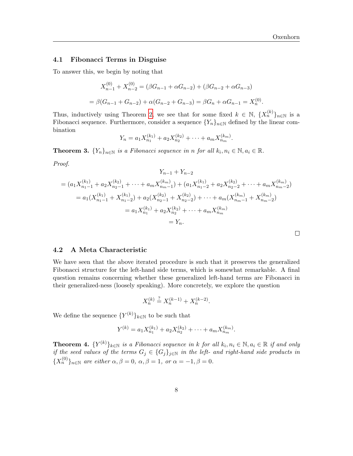#### 4.1 Fibonacci Terms in Disguise

To answer this, we begin by noting that

$$
X_{n-1}^{(0)} + X_{n-2}^{(0)} = (\beta G_{n-1} + \alpha G_{n-2}) + (\beta G_{n-2} + \alpha G_{n-3})
$$
  
=  $\beta(G_{n-1} + G_{n-2}) + \alpha(G_{n-2} + G_{n-3}) = \beta G_n + \alpha G_{n-1} = X_n^{(0)}$ .

Thus, inductively using Theorem [2,](#page-3-1) we see that for some fixed  $k \in \mathbb{N}$ ,  $\{X_n^{(k)}\}_{n\in\mathbb{N}}$  is a Fibonacci sequence. Furthermore, consider a sequence  ${Y_n}_{n\in\mathbb{N}}$  defined by the linear combination

$$
Y_n = a_1 X_{n_1}^{(k_1)} + a_2 X_{n_2}^{(k_2)} + \cdots + a_m X_{n_m}^{(k_m)}.
$$

**Theorem 3.**  $\{Y_n\}_{n\in\mathbb{N}}$  is a Fibonacci sequence in n for all  $k_i, n_i \in \mathbb{N}, a_i \in \mathbb{R}$ .

Proof.

$$
Y_{n-1} + Y_{n-2}
$$
  
=  $(a_1 X_{n_1-1}^{(k_1)} + a_2 X_{n_2-1}^{(k_2)} + \dots + a_m X_{n_m-1}^{(k_m)}) + (a_1 X_{n_1-2}^{(k_1)} + a_2 X_{n_2-2}^{(k_2)} + \dots + a_m X_{n_m-2}^{(k_m)})$   
=  $a_1 (X_{n_1-1}^{(k_1)} + X_{n_1-2}^{(k_1)}) + a_2 (X_{n_2-1}^{(k_2)} + X_{n_2-2}^{(k_2)}) + \dots + a_m (X_{n_m-1}^{(k_m)} + X_{n_m-2}^{(k_m)})$   
=  $a_1 X_{n_1}^{(k_1)} + a_2 X_{n_2}^{(k_2)} + \dots + a_m X_{n_m}^{(k_m)}$   
=  $Y_n$ .

| 4.2 A Meta Characteristic |
|---------------------------|
|                           |

We have seen that the above iterated procedure is such that it preserves the generalized Fibonacci structure for the left-hand side terms, which is somewhat remarkable. A final question remains concerning whether these generalized left-hand terms are Fibonacci in their generalized-ness (loosely speaking). More concretely, we explore the question

$$
X_n^{(k)} \stackrel{?}{=} X_n^{(k-1)} + X_n^{(k-2)}.
$$

We define the sequence  ${Y^{(k)}}_{k\in\mathbb{N}}$  to be such that

$$
Y^{(k)} = a_1 X_{n_1}^{(k_1)} + a_2 X_{n_2}^{(k_2)} + \cdots + a_m X_{n_m}^{(k_m)}.
$$

**Theorem 4.**  $\{Y^{(k)}\}_{k\in\mathbb{N}}$  is a Fibonacci sequence in k for all  $k_i, n_i \in \mathbb{N}, a_i \in \mathbb{R}$  if and only if the seed values of the terms  $G_j \in \{G_j\}_{j\in\mathbb{N}}$  in the left- and right-hand side products in  ${X_n^{(0)}}_{n \in \mathbb{N}}$  are either  $\alpha, \beta = 0, \alpha, \beta = 1, \text{ or } \alpha = -1, \beta = 0.$